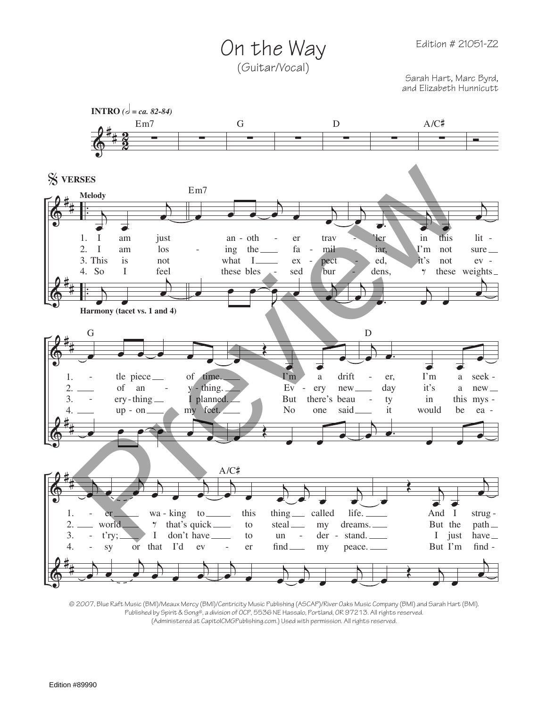Edition # 21051-Z2

On the Way (Guitar/Vocal)

Sarah Hart, Marc Byrd, and Elizabeth Hunnicutt



© 2007, Blue Raft Music (BMI)/Meaux Mercy (BMI)/Centricity Music Publishing (ASCAP)/River Oaks Music Company (BMI) and Sarah Hart (BMI). Published by Spirit & Song®, a division of OCP, 5536 NE Hassalo, Portland, OR 97213. All rights reserved. (Administered at CapitolCMGPublishing.com.) Used with permission. All rights reserved.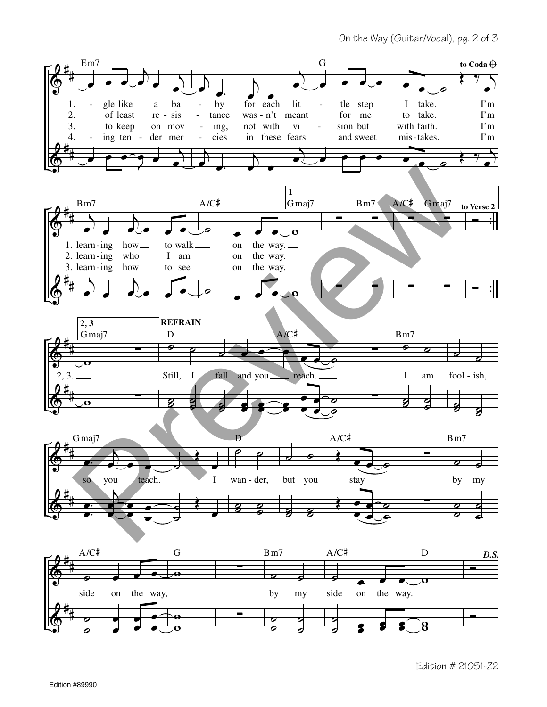